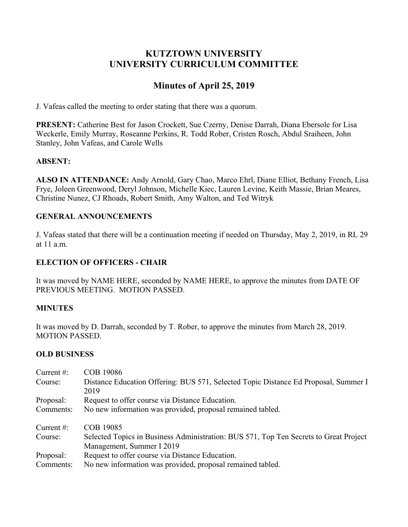# **KUTZTOWN UNIVERSITY UNIVERSITY CURRICULUM COMMITTEE**

# **Minutes of April 25, 2019**

J. Vafeas called the meeting to order stating that there was a quorum.

**PRESENT:** Catherine Best for Jason Crockett, Sue Czerny, Denise Darrah, Diana Ebersole for Lisa Weckerle, Emily Murray, Roseanne Perkins, R. Todd Rober, Cristen Rosch, Abdul Sraiheen, John Stanley, John Vafeas, and Carole Wells

## **ABSENT:**

**ALSO IN ATTENDANCE:** Andy Arnold, Gary Chao, Marco Ehrl, Diane Elliot, Bethany French, Lisa Frye, Joleen Greenwood, Deryl Johnson, Michelle Kiec, Lauren Levine, Keith Massie, Brian Meares, Christine Nunez, CJ Rhoads, Robert Smith, Amy Walton, and Ted Witryk

# **GENERAL ANNOUNCEMENTS**

J. Vafeas stated that there will be a continuation meeting if needed on Thursday, May 2, 2019, in RL 29 at 11 a.m.

# **ELECTION OF OFFICERS - CHAIR**

It was moved by NAME HERE, seconded by NAME HERE, to approve the minutes from DATE OF PREVIOUS MEETING. MOTION PASSED.

## **MINUTES**

It was moved by D. Darrah, seconded by T. Rober, to approve the minutes from March 28, 2019. MOTION PASSED.

## **OLD BUSINESS**

| Current $#$ : | COB 19086                                                                                                          |
|---------------|--------------------------------------------------------------------------------------------------------------------|
| Course:       | Distance Education Offering: BUS 571, Selected Topic Distance Ed Proposal, Summer I<br>2019                        |
| Proposal:     | Request to offer course via Distance Education.                                                                    |
| Comments:     | No new information was provided, proposal remained tabled.                                                         |
| Current $#$ : | COB 19085                                                                                                          |
| Course:       | Selected Topics in Business Administration: BUS 571, Top Ten Secrets to Great Project<br>Management, Summer I 2019 |
| Proposal:     | Request to offer course via Distance Education.                                                                    |
| Comments:     | No new information was provided, proposal remained tabled.                                                         |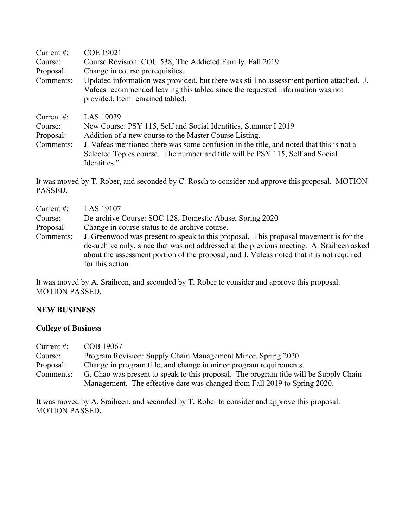| Current $#$ : | <b>COE 19021</b>                                                                                                                                                                                              |  |  |
|---------------|---------------------------------------------------------------------------------------------------------------------------------------------------------------------------------------------------------------|--|--|
| Course:       | Course Revision: COU 538, The Addicted Family, Fall 2019                                                                                                                                                      |  |  |
| Proposal:     | Change in course prerequisites.                                                                                                                                                                               |  |  |
| Comments:     | Updated information was provided, but there was still no assessment portion attached. J.<br>Vafeas recommended leaving this tabled since the requested information was not<br>provided. Item remained tabled. |  |  |
| Current $#$ : | LAS 19039                                                                                                                                                                                                     |  |  |
| Course:       | New Course: PSY 115, Self and Social Identities, Summer I 2019                                                                                                                                                |  |  |
| Proposal:     | Addition of a new course to the Master Course Listing.                                                                                                                                                        |  |  |
| Comments:     | J. Vafeas mentioned there was some confusion in the title, and noted that this is not a<br>Selected Topics course. The number and title will be PSY 115, Self and Social<br>Identities."                      |  |  |
|               |                                                                                                                                                                                                               |  |  |

It was moved by T. Rober, and seconded by C. Rosch to consider and approve this proposal. MOTION PASSED.

| Current $#$ :<br>Course: | LAS 19107<br>De-archive Course: SOC 128, Domestic Abuse, Spring 2020                                                                                                                                                                                                                               |  |
|--------------------------|----------------------------------------------------------------------------------------------------------------------------------------------------------------------------------------------------------------------------------------------------------------------------------------------------|--|
| Proposal:                | Change in course status to de-archive course.                                                                                                                                                                                                                                                      |  |
| Comments:                | J. Greenwood was present to speak to this proposal. This proposal movement is for the<br>de-archive only, since that was not addressed at the previous meeting. A. Sraiheen asked<br>about the assessment portion of the proposal, and J. Vafeas noted that it is not required<br>for this action. |  |

It was moved by A. Sraiheen, and seconded by T. Rober to consider and approve this proposal. MOTION PASSED.

#### **NEW BUSINESS**

# **College of Business**

| Current $#$ : | COB 19067                                                                             |  |
|---------------|---------------------------------------------------------------------------------------|--|
| Course:       | Program Revision: Supply Chain Management Minor, Spring 2020                          |  |
| Proposal:     | Change in program title, and change in minor program requirements.                    |  |
| Comments:     | G. Chao was present to speak to this proposal. The program title will be Supply Chain |  |
|               | Management. The effective date was changed from Fall 2019 to Spring 2020.             |  |

It was moved by A. Sraiheen, and seconded by T. Rober to consider and approve this proposal. MOTION PASSED.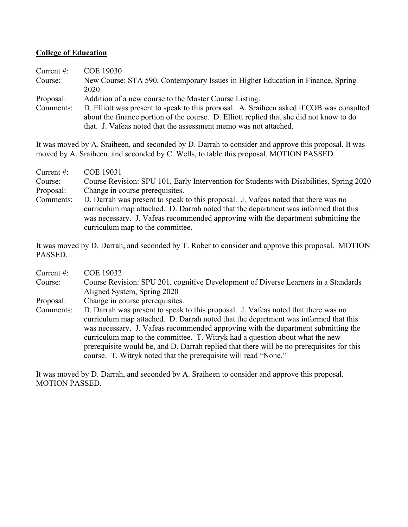## **College of Education**

| Current $#$ : | <b>COE 19030</b>                                                                         |
|---------------|------------------------------------------------------------------------------------------|
| Course:       | New Course: STA 590, Contemporary Issues in Higher Education in Finance, Spring          |
|               | 2020                                                                                     |
| Proposal:     | Addition of a new course to the Master Course Listing.                                   |
| Comments:     | D. Elliott was present to speak to this proposal. A. Sraiheen asked if COB was consulted |
|               | about the finance portion of the course. D. Elliott replied that she did not know to do  |
|               | that. J. Vafeas noted that the assessment memo was not attached.                         |

It was moved by A. Sraiheen, and seconded by D. Darrah to consider and approve this proposal. It was moved by A. Sraiheen, and seconded by C. Wells, to table this proposal. MOTION PASSED.

| Current $#$ : | COE 19031                                                                                                                                                                                                                                                                                          |  |  |
|---------------|----------------------------------------------------------------------------------------------------------------------------------------------------------------------------------------------------------------------------------------------------------------------------------------------------|--|--|
| Course:       | Course Revision: SPU 101, Early Intervention for Students with Disabilities, Spring 2020                                                                                                                                                                                                           |  |  |
| Proposal:     | Change in course prerequisites.                                                                                                                                                                                                                                                                    |  |  |
| Comments:     | D. Darrah was present to speak to this proposal. J. Vafeas noted that there was no<br>curriculum map attached. D. Darrah noted that the department was informed that this<br>was necessary. J. Vafeas recommended approving with the department submitting the<br>curriculum map to the committee. |  |  |

It was moved by D. Darrah, and seconded by T. Rober to consider and approve this proposal. MOTION PASSED.

| <b>COE 19032</b>                                                                          |
|-------------------------------------------------------------------------------------------|
| Course Revision: SPU 201, cognitive Development of Diverse Learners in a Standards        |
| Aligned System, Spring 2020                                                               |
| Change in course prerequisites.                                                           |
| D. Darrah was present to speak to this proposal. J. Vafeas noted that there was no        |
| curriculum map attached. D. Darrah noted that the department was informed that this       |
| was necessary. J. Vafeas recommended approving with the department submitting the         |
| curriculum map to the committee. T. Witryk had a question about what the new              |
| prerequisite would be, and D. Darrah replied that there will be no prerequisites for this |
| course. T. Witryk noted that the prerequisite will read "None."                           |
|                                                                                           |

It was moved by D. Darrah, and seconded by A. Sraiheen to consider and approve this proposal. MOTION PASSED.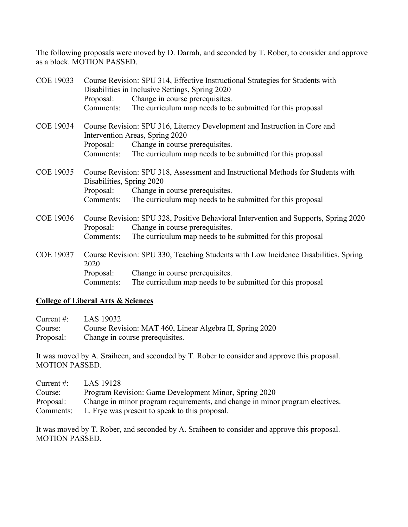The following proposals were moved by D. Darrah, and seconded by T. Rober, to consider and approve as a block. MOTION PASSED.

| <b>COE 19033</b> |                           | Course Revision: SPU 314, Effective Instructional Strategies for Students with<br>Disabilities in Inclusive Settings, Spring 2020 |
|------------------|---------------------------|-----------------------------------------------------------------------------------------------------------------------------------|
|                  | Proposal:                 | Change in course prerequisites.                                                                                                   |
|                  | Comments:                 | The curriculum map needs to be submitted for this proposal                                                                        |
| <b>COE 19034</b> |                           | Course Revision: SPU 316, Literacy Development and Instruction in Core and<br>Intervention Areas, Spring 2020                     |
|                  | Proposal:                 | Change in course prerequisites.                                                                                                   |
|                  | Comments:                 | The curriculum map needs to be submitted for this proposal                                                                        |
| <b>COE 19035</b> | Disabilities, Spring 2020 | Course Revision: SPU 318, Assessment and Instructional Methods for Students with                                                  |
|                  | Proposal:                 | Change in course prerequisites.                                                                                                   |
|                  | Comments:                 | The curriculum map needs to be submitted for this proposal                                                                        |
| <b>COE 19036</b> | Proposal:                 | Course Revision: SPU 328, Positive Behavioral Intervention and Supports, Spring 2020<br>Change in course prerequisites.           |
|                  | Comments:                 | The curriculum map needs to be submitted for this proposal                                                                        |
| <b>COE 19037</b> | 2020                      | Course Revision: SPU 330, Teaching Students with Low Incidence Disabilities, Spring                                               |
|                  |                           | Proposal: Change in course prerequisites.                                                                                         |
|                  | Comments:                 | The curriculum map needs to be submitted for this proposal                                                                        |

### **College of Liberal Arts & Sciences**

| Current #: $LAS 19032$                                           |
|------------------------------------------------------------------|
| Course: Course Revision: MAT 460, Linear Algebra II, Spring 2020 |
| Proposal: Change in course prerequisites.                        |

It was moved by A. Sraiheen, and seconded by T. Rober to consider and approve this proposal. MOTION PASSED.

| Current $#$ : | LAS 19128                                                                    |
|---------------|------------------------------------------------------------------------------|
| Course:       | Program Revision: Game Development Minor, Spring 2020                        |
| Proposal:     | Change in minor program requirements, and change in minor program electives. |
| Comments:     | L. Frye was present to speak to this proposal.                               |

It was moved by T. Rober, and seconded by A. Sraiheen to consider and approve this proposal. MOTION PASSED.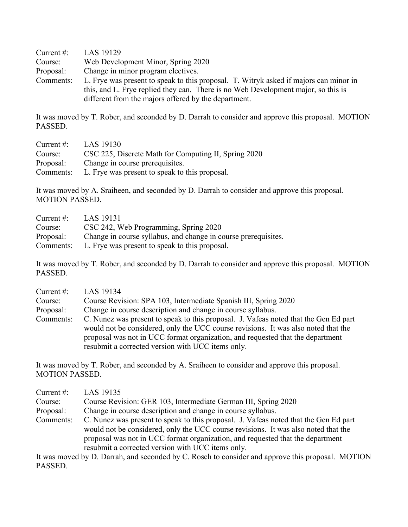| Current $#$ : | LAS 19129                                                                             |  |
|---------------|---------------------------------------------------------------------------------------|--|
| Course:       | Web Development Minor, Spring 2020                                                    |  |
| Proposal:     | Change in minor program electives.                                                    |  |
| Comments:     | L. Frye was present to speak to this proposal. T. Witryk asked if majors can minor in |  |
|               | this, and L. Frye replied they can. There is no Web Development major, so this is     |  |
|               | different from the majors offered by the department.                                  |  |

It was moved by T. Rober, and seconded by D. Darrah to consider and approve this proposal. MOTION PASSED.

| Current $#$ : | LAS 19130                                            |
|---------------|------------------------------------------------------|
| Course:       | CSC 225, Discrete Math for Computing II, Spring 2020 |
| Proposal:     | Change in course prerequisites.                      |
| Comments:     | L. Frye was present to speak to this proposal.       |

It was moved by A. Sraiheen, and seconded by D. Darrah to consider and approve this proposal. MOTION PASSED.

| Current $\#$ : | LAS 19131                                                      |
|----------------|----------------------------------------------------------------|
| Course:        | CSC 242, Web Programming, Spring 2020                          |
| Proposal:      | Change in course syllabus, and change in course prerequisites. |
| Comments:      | L. Frye was present to speak to this proposal.                 |

It was moved by T. Rober, and seconded by D. Darrah to consider and approve this proposal. MOTION PASSED.

| Current $#$ : | LAS 19134                                                                                                                                                                                                                                                                                                         |
|---------------|-------------------------------------------------------------------------------------------------------------------------------------------------------------------------------------------------------------------------------------------------------------------------------------------------------------------|
| Course:       | Course Revision: SPA 103, Intermediate Spanish III, Spring 2020                                                                                                                                                                                                                                                   |
| Proposal:     | Change in course description and change in course syllabus.                                                                                                                                                                                                                                                       |
| Comments:     | C. Nunez was present to speak to this proposal. J. Vafeas noted that the Gen Ed part<br>would not be considered, only the UCC course revisions. It was also noted that the<br>proposal was not in UCC format organization, and requested that the department<br>resubmit a corrected version with UCC items only. |

It was moved by T. Rober, and seconded by A. Sraiheen to consider and approve this proposal. MOTION PASSED.

| Current $#$ : | LAS 19135                                                                                                                                                                                                                                                                                                         |
|---------------|-------------------------------------------------------------------------------------------------------------------------------------------------------------------------------------------------------------------------------------------------------------------------------------------------------------------|
| Course:       | Course Revision: GER 103, Intermediate German III, Spring 2020                                                                                                                                                                                                                                                    |
| Proposal:     | Change in course description and change in course syllabus.                                                                                                                                                                                                                                                       |
| Comments:     | C. Nunez was present to speak to this proposal. J. Vafeas noted that the Gen Ed part<br>would not be considered, only the UCC course revisions. It was also noted that the<br>proposal was not in UCC format organization, and requested that the department<br>resubmit a corrected version with UCC items only. |

It was moved by D. Darrah, and seconded by C. Rosch to consider and approve this proposal. MOTION PASSED.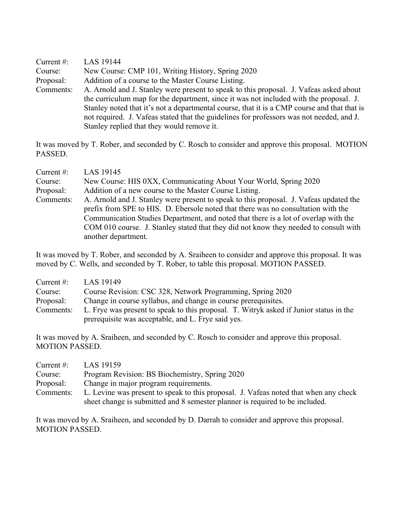Current #: LAS 19144 Course: New Course: CMP 101, Writing History, Spring 2020 Proposal: Addition of a course to the Master Course Listing. Comments: A. Arnold and J. Stanley were present to speak to this proposal. J. Vafeas asked about the curriculum map for the department, since it was not included with the proposal. J. Stanley noted that it's not a departmental course, that it is a CMP course and that that is not required. J. Vafeas stated that the guidelines for professors was not needed, and J. Stanley replied that they would remove it.

It was moved by T. Rober, and seconded by C. Rosch to consider and approve this proposal. MOTION PASSED.

| Current $#$ : | LAS 19145                                                                              |
|---------------|----------------------------------------------------------------------------------------|
| Course:       | New Course: HIS 0XX, Communicating About Your World, Spring 2020                       |
| Proposal:     | Addition of a new course to the Master Course Listing.                                 |
| Comments:     | A. Arnold and J. Stanley were present to speak to this proposal. J. Vafeas updated the |
|               | prefix from SPE to HIS. D. Ebersole noted that there was no consultation with the      |
|               | Communication Studies Department, and noted that there is a lot of overlap with the    |
|               | COM 010 course. J. Stanley stated that they did not know they needed to consult with   |
|               | another department.                                                                    |

It was moved by T. Rober, and seconded by A. Sraiheen to consider and approve this proposal. It was moved by C. Wells, and seconded by T. Rober, to table this proposal. MOTION PASSED.

| Current $\#$ : | LAS 19149                                                                              |
|----------------|----------------------------------------------------------------------------------------|
| Course:        | Course Revision: CSC 328, Network Programming, Spring 2020                             |
| Proposal:      | Change in course syllabus, and change in course prerequisites.                         |
| Comments:      | L. Frye was present to speak to this proposal. T. Witryk asked if Junior status in the |
|                | prerequisite was acceptable, and L. Frye said yes.                                     |

It was moved by A. Sraiheen, and seconded by C. Rosch to consider and approve this proposal. MOTION PASSED.

| Current $#$ : | LAS 19159                                                                            |
|---------------|--------------------------------------------------------------------------------------|
| Course:       | Program Revision: BS Biochemistry, Spring 2020                                       |
| Proposal:     | Change in major program requirements.                                                |
| Comments:     | L. Levine was present to speak to this proposal. J. Vafeas noted that when any check |
|               | sheet change is submitted and 8 semester planner is required to be included.         |

It was moved by A. Sraiheen, and seconded by D. Darrah to consider and approve this proposal. MOTION PASSED.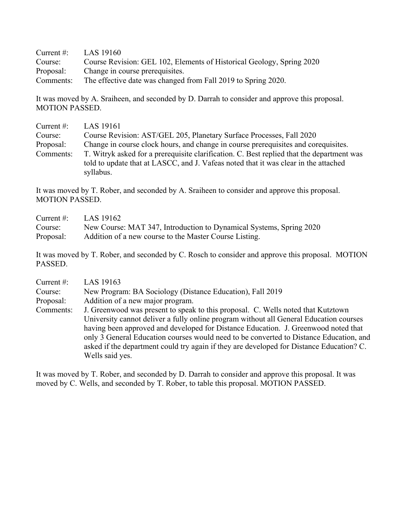| Current $\#$ : | LAS 19160                                                             |
|----------------|-----------------------------------------------------------------------|
| Course:        | Course Revision: GEL 102, Elements of Historical Geology, Spring 2020 |
| Proposal:      | Change in course prerequisites.                                       |
| Comments:      | The effective date was changed from Fall 2019 to Spring 2020.         |

It was moved by A. Sraiheen, and seconded by D. Darrah to consider and approve this proposal. MOTION PASSED.

| Current $#$ : | LAS 19161                                                                                 |
|---------------|-------------------------------------------------------------------------------------------|
| Course:       | Course Revision: AST/GEL 205, Planetary Surface Processes, Fall 2020                      |
| Proposal:     | Change in course clock hours, and change in course prerequisities and corequisities.      |
| Comments:     | T. Witryk asked for a prerequisite clarification. C. Best replied that the department was |
|               | told to update that at LASCC, and J. Vafeas noted that it was clear in the attached       |
|               | syllabus.                                                                                 |

It was moved by T. Rober, and seconded by A. Sraiheen to consider and approve this proposal. MOTION PASSED.

| Current #: $LAS 19162$ |                                                                     |
|------------------------|---------------------------------------------------------------------|
| Course:                | New Course: MAT 347, Introduction to Dynamical Systems, Spring 2020 |
| Proposal:              | Addition of a new course to the Master Course Listing.              |

It was moved by T. Rober, and seconded by C. Rosch to consider and approve this proposal. MOTION PASSED.

| Current $\#$ : | LAS 19163                                                                                |
|----------------|------------------------------------------------------------------------------------------|
| Course:        | New Program: BA Sociology (Distance Education), Fall 2019                                |
| Proposal:      | Addition of a new major program.                                                         |
| Comments:      | J. Greenwood was present to speak to this proposal. C. Wells noted that Kutztown         |
|                | University cannot deliver a fully online program without all General Education courses   |
|                | having been approved and developed for Distance Education. J. Greenwood noted that       |
|                | only 3 General Education courses would need to be converted to Distance Education, and   |
|                | asked if the department could try again if they are developed for Distance Education? C. |
|                | Wells said yes.                                                                          |

It was moved by T. Rober, and seconded by D. Darrah to consider and approve this proposal. It was moved by C. Wells, and seconded by T. Rober, to table this proposal. MOTION PASSED.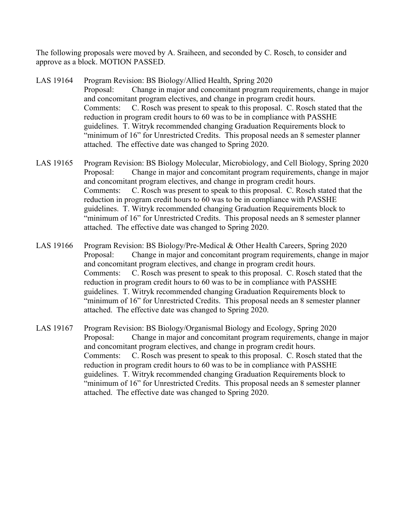The following proposals were moved by A. Sraiheen, and seconded by C. Rosch, to consider and approve as a block. MOTION PASSED.

- LAS 19164 Program Revision: BS Biology/Allied Health, Spring 2020 Proposal: Change in major and concomitant program requirements, change in major and concomitant program electives, and change in program credit hours. Comments: C. Rosch was present to speak to this proposal. C. Rosch stated that the reduction in program credit hours to 60 was to be in compliance with PASSHE guidelines. T. Witryk recommended changing Graduation Requirements block to "minimum of 16" for Unrestricted Credits. This proposal needs an 8 semester planner attached. The effective date was changed to Spring 2020.
- LAS 19165 Program Revision: BS Biology Molecular, Microbiology, and Cell Biology, Spring 2020 Proposal: Change in major and concomitant program requirements, change in major and concomitant program electives, and change in program credit hours. Comments: C. Rosch was present to speak to this proposal. C. Rosch stated that the reduction in program credit hours to 60 was to be in compliance with PASSHE guidelines. T. Witryk recommended changing Graduation Requirements block to "minimum of 16" for Unrestricted Credits. This proposal needs an 8 semester planner attached. The effective date was changed to Spring 2020.
- LAS 19166 Program Revision: BS Biology/Pre-Medical & Other Health Careers, Spring 2020 Proposal: Change in major and concomitant program requirements, change in major and concomitant program electives, and change in program credit hours. Comments: C. Rosch was present to speak to this proposal. C. Rosch stated that the reduction in program credit hours to 60 was to be in compliance with PASSHE guidelines. T. Witryk recommended changing Graduation Requirements block to "minimum of 16" for Unrestricted Credits. This proposal needs an 8 semester planner attached. The effective date was changed to Spring 2020.
- LAS 19167 Program Revision: BS Biology/Organismal Biology and Ecology, Spring 2020 Proposal: Change in major and concomitant program requirements, change in major and concomitant program electives, and change in program credit hours. Comments: C. Rosch was present to speak to this proposal. C. Rosch stated that the reduction in program credit hours to 60 was to be in compliance with PASSHE guidelines. T. Witryk recommended changing Graduation Requirements block to "minimum of 16" for Unrestricted Credits. This proposal needs an 8 semester planner attached. The effective date was changed to Spring 2020.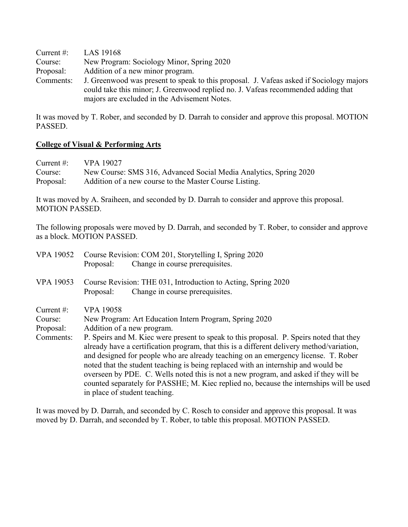Current #: LAS 19168 Course: New Program: Sociology Minor, Spring 2020 Proposal: Addition of a new minor program. Comments: J. Greenwood was present to speak to this proposal. J. Vafeas asked if Sociology majors could take this minor; J. Greenwood replied no. J. Vafeas recommended adding that majors are excluded in the Advisement Notes.

It was moved by T. Rober, and seconded by D. Darrah to consider and approve this proposal. MOTION PASSED.

### **College of Visual & Performing Arts**

| Current $\#$ : | VPA 19027                                                         |
|----------------|-------------------------------------------------------------------|
| Course:        | New Course: SMS 316, Advanced Social Media Analytics, Spring 2020 |
| Proposal:      | Addition of a new course to the Master Course Listing.            |

It was moved by A. Sraiheen, and seconded by D. Darrah to consider and approve this proposal. MOTION PASSED.

The following proposals were moved by D. Darrah, and seconded by T. Rober, to consider and approve as a block. MOTION PASSED.

| <b>VPA 19052</b>      | Course Revision: COM 201, Storytelling I, Spring 2020<br>Change in course prerequisites.<br>Proposal:                                                                                                                                                                                                                                                                                                                                                                                                                                                                               |
|-----------------------|-------------------------------------------------------------------------------------------------------------------------------------------------------------------------------------------------------------------------------------------------------------------------------------------------------------------------------------------------------------------------------------------------------------------------------------------------------------------------------------------------------------------------------------------------------------------------------------|
| <b>VPA 19053</b>      | Course Revision: THE 031, Introduction to Acting, Spring 2020<br>Change in course prerequisites.<br>Proposal:                                                                                                                                                                                                                                                                                                                                                                                                                                                                       |
| Current #:<br>Course: | <b>VPA 19058</b><br>New Program: Art Education Intern Program, Spring 2020                                                                                                                                                                                                                                                                                                                                                                                                                                                                                                          |
| Proposal:             | Addition of a new program.                                                                                                                                                                                                                                                                                                                                                                                                                                                                                                                                                          |
| Comments:             | P. Speirs and M. Kiec were present to speak to this proposal. P. Speirs noted that they<br>already have a certification program, that this is a different delivery method/variation,<br>and designed for people who are already teaching on an emergency license. T. Rober<br>noted that the student teaching is being replaced with an internship and would be<br>overseen by PDE. C. Wells noted this is not a new program, and asked if they will be<br>counted separately for PASSHE; M. Kiec replied no, because the internships will be used<br>in place of student teaching. |

It was moved by D. Darrah, and seconded by C. Rosch to consider and approve this proposal. It was moved by D. Darrah, and seconded by T. Rober, to table this proposal. MOTION PASSED.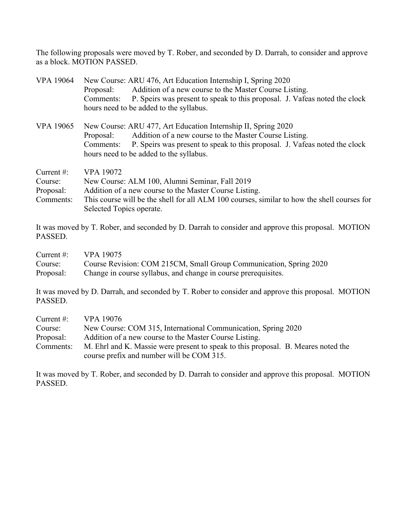The following proposals were moved by T. Rober, and seconded by D. Darrah, to consider and approve as a block. MOTION PASSED.

| <b>VPA 19064</b>                                   | New Course: ARU 476, Art Education Internship I, Spring 2020<br>Addition of a new course to the Master Course Listing.<br>Proposal:<br>P. Speirs was present to speak to this proposal. J. Vafeas noted the clock<br>Comments:<br>hours need to be added to the syllabus.  |
|----------------------------------------------------|----------------------------------------------------------------------------------------------------------------------------------------------------------------------------------------------------------------------------------------------------------------------------|
| <b>VPA 19065</b>                                   | New Course: ARU 477, Art Education Internship II, Spring 2020<br>Addition of a new course to the Master Course Listing.<br>Proposal:<br>P. Speirs was present to speak to this proposal. J. Vafeas noted the clock<br>Comments:<br>hours need to be added to the syllabus. |
| Current $#$ :<br>Course:<br>Proposal:<br>Comments: | <b>VPA 19072</b><br>New Course: ALM 100, Alumni Seminar, Fall 2019<br>Addition of a new course to the Master Course Listing.<br>This course will be the shell for all ALM 100 courses, similar to how the shell courses for<br>Selected Topics operate.                    |

It was moved by T. Rober, and seconded by D. Darrah to consider and approve this proposal. MOTION PASSED.

| Current #: $VPA$ 19075 |                                                                    |
|------------------------|--------------------------------------------------------------------|
| Course:                | Course Revision: COM 215CM, Small Group Communication, Spring 2020 |
| Proposal:              | Change in course syllabus, and change in course prerequisites.     |

It was moved by D. Darrah, and seconded by T. Rober to consider and approve this proposal. MOTION PASSED.

| Current $#$ : | <b>VPA 19076</b>                                                                  |
|---------------|-----------------------------------------------------------------------------------|
| Course:       | New Course: COM 315, International Communication, Spring 2020                     |
| Proposal:     | Addition of a new course to the Master Course Listing.                            |
| Comments:     | M. Ehrl and K. Massie were present to speak to this proposal. B. Meares noted the |
|               | course prefix and number will be COM 315.                                         |

It was moved by T. Rober, and seconded by D. Darrah to consider and approve this proposal. MOTION PASSED.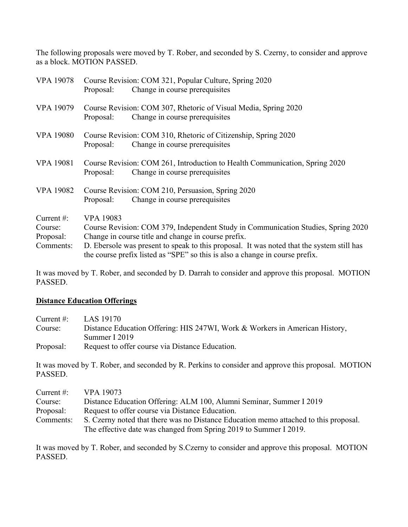The following proposals were moved by T. Rober, and seconded by S. Czerny, to consider and approve as a block. MOTION PASSED.

| <b>VPA 19078</b> | Course Revision: COM 321, Popular Culture, Spring 2020                                                                                                                    |
|------------------|---------------------------------------------------------------------------------------------------------------------------------------------------------------------------|
|                  | Change in course prerequisites<br>Proposal:                                                                                                                               |
| <b>VPA 19079</b> | Course Revision: COM 307, Rhetoric of Visual Media, Spring 2020                                                                                                           |
|                  | Change in course prerequisites<br>Proposal:                                                                                                                               |
| <b>VPA 19080</b> | Course Revision: COM 310, Rhetoric of Citizenship, Spring 2020                                                                                                            |
|                  | Change in course prerequisites<br>Proposal:                                                                                                                               |
| <b>VPA 19081</b> | Course Revision: COM 261, Introduction to Health Communication, Spring 2020                                                                                               |
|                  | Change in course prerequisites<br>Proposal:                                                                                                                               |
| <b>VPA 19082</b> | Course Revision: COM 210, Persuasion, Spring 2020                                                                                                                         |
|                  | Change in course prerequisites<br>Proposal:                                                                                                                               |
| Current $#$ :    | <b>VPA 19083</b>                                                                                                                                                          |
| Course:          | Course Revision: COM 379, Independent Study in Communication Studies, Spring 2020                                                                                         |
| Proposal:        | Change in course title and change in course prefix.                                                                                                                       |
| Comments:        | D. Ebersole was present to speak to this proposal. It was noted that the system still has<br>the course prefix listed as "SPE" so this is also a change in course prefix. |

It was moved by T. Rober, and seconded by D. Darrah to consider and approve this proposal. MOTION PASSED.

### **Distance Education Offerings**

| Current $#$ : | LAS 19170                                                                   |
|---------------|-----------------------------------------------------------------------------|
| Course:       | Distance Education Offering: HIS 247WI, Work & Workers in American History, |
|               | Summer I 2019                                                               |
| Proposal:     | Request to offer course via Distance Education.                             |

It was moved by T. Rober, and seconded by R. Perkins to consider and approve this proposal. MOTION PASSED.

| Current $#$ : | VPA 19073                                                                            |
|---------------|--------------------------------------------------------------------------------------|
| Course:       | Distance Education Offering: ALM 100, Alumni Seminar, Summer I 2019                  |
| Proposal:     | Request to offer course via Distance Education.                                      |
| Comments:     | S. Czerny noted that there was no Distance Education memo attached to this proposal. |
|               | The effective date was changed from Spring 2019 to Summer I 2019.                    |

It was moved by T. Rober, and seconded by S.Czerny to consider and approve this proposal. MOTION PASSED.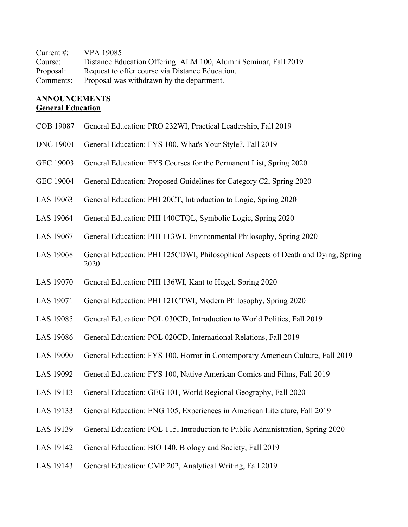| Current $\#$ : | VPA 19085                                                       |
|----------------|-----------------------------------------------------------------|
| Course:        | Distance Education Offering: ALM 100, Alumni Seminar, Fall 2019 |
| Proposal:      | Request to offer course via Distance Education.                 |
| Comments:      | Proposal was withdrawn by the department.                       |

# **ANNOUNCEMENTS General Education**

| <b>COB 19087</b> | General Education: PRO 232WI, Practical Leadership, Fall 2019                            |
|------------------|------------------------------------------------------------------------------------------|
| <b>DNC 19001</b> | General Education: FYS 100, What's Your Style?, Fall 2019                                |
| <b>GEC 19003</b> | General Education: FYS Courses for the Permanent List, Spring 2020                       |
| <b>GEC 19004</b> | General Education: Proposed Guidelines for Category C2, Spring 2020                      |
| LAS 19063        | General Education: PHI 20CT, Introduction to Logic, Spring 2020                          |
| LAS 19064        | General Education: PHI 140CTQL, Symbolic Logic, Spring 2020                              |
| LAS 19067        | General Education: PHI 113WI, Environmental Philosophy, Spring 2020                      |
| <b>LAS 19068</b> | General Education: PHI 125CDWI, Philosophical Aspects of Death and Dying, Spring<br>2020 |
| LAS 19070        | General Education: PHI 136WI, Kant to Hegel, Spring 2020                                 |
| LAS 19071        | General Education: PHI 121CTWI, Modern Philosophy, Spring 2020                           |
| LAS 19085        | General Education: POL 030CD, Introduction to World Politics, Fall 2019                  |
| LAS 19086        | General Education: POL 020CD, International Relations, Fall 2019                         |
| LAS 19090        | General Education: FYS 100, Horror in Contemporary American Culture, Fall 2019           |
| LAS 19092        | General Education: FYS 100, Native American Comics and Films, Fall 2019                  |
| LAS 19113        | General Education: GEG 101, World Regional Geography, Fall 2020                          |
| LAS 19133        | General Education: ENG 105, Experiences in American Literature, Fall 2019                |
| LAS 19139        | General Education: POL 115, Introduction to Public Administration, Spring 2020           |
| LAS 19142        | General Education: BIO 140, Biology and Society, Fall 2019                               |
| LAS 19143        | General Education: CMP 202, Analytical Writing, Fall 2019                                |